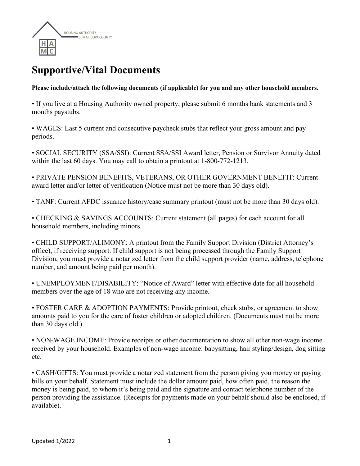

## **Supportive/Vital Documents**

**Please include/attach the following documents (if applicable) for you and any other household members.**

• If you live at a Housing Authority owned property, please submit 6 months bank statements and 3 months paystubs.

• WAGES: Last 5 current and consecutive paycheck stubs that reflect your gross amount and pay periods.

• SOCIAL SECURITY (SSA/SSI): Current SSA/SSI Award letter, Pension or Survivor Annuity dated within the last 60 days. You may call to obtain a printout at 1-800-772-1213.

• PRIVATE PENSION BENEFITS, VETERANS, OR OTHER GOVERNMENT BENEFIT: Current award letter and/or letter of verification (Notice must not be more than 30 days old).

• TANF: Current AFDC issuance history/case summary printout (must not be more than 30 days old).

• CHECKING & SAVINGS ACCOUNTS: Current statement (all pages) for each account for all household members, including minors.

• CHILD SUPPORT/ALIMONY: A printout from the Family Support Division (District Attorney's office), if receiving support. If child support is not being processed through the Family Support Division, you must provide a notarized letter from the child support provider (name, address, telephone number, and amount being paid per month).

• UNEMPLOYMENT/DISABILITY: "Notice of Award" letter with effective date for all household members over the age of 18 who are not receiving any income.

• FOSTER CARE & ADOPTION PAYMENTS: Provide printout, check stubs, or agreement to show amounts paid to you for the care of foster children or adopted children. (Documents must not be more than 30 days old.)

• NON-WAGE INCOME: Provide receipts or other documentation to show all other non-wage income received by your household. Examples of non-wage income: babysitting, hair styling/design, dog sitting etc.

• CASH/GIFTS: You must provide a notarized statement from the person giving you money or paying bills on your behalf. Statement must include the dollar amount paid, how often paid, the reason the money is being paid, to whom it's being paid and the signature and contact telephone number of the person providing the assistance. (Receipts for payments made on your behalf should also be enclosed, if available).